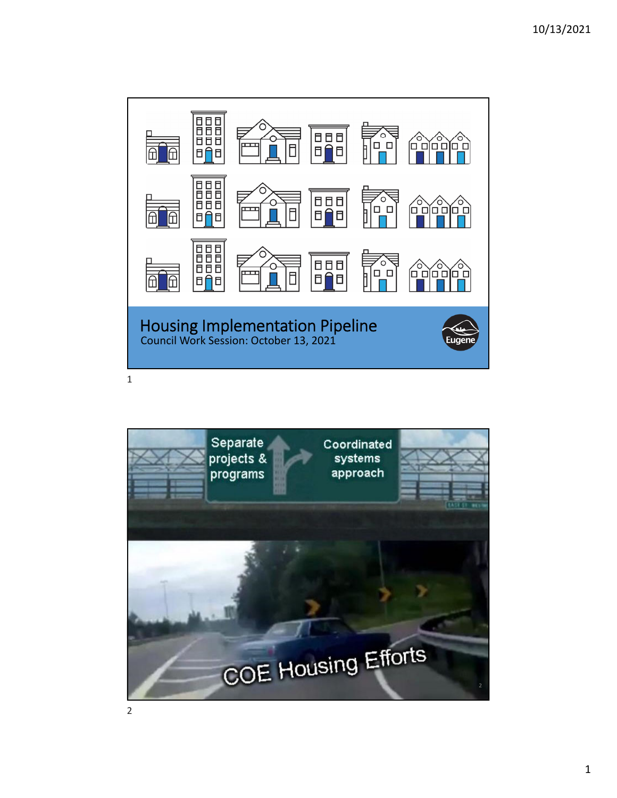

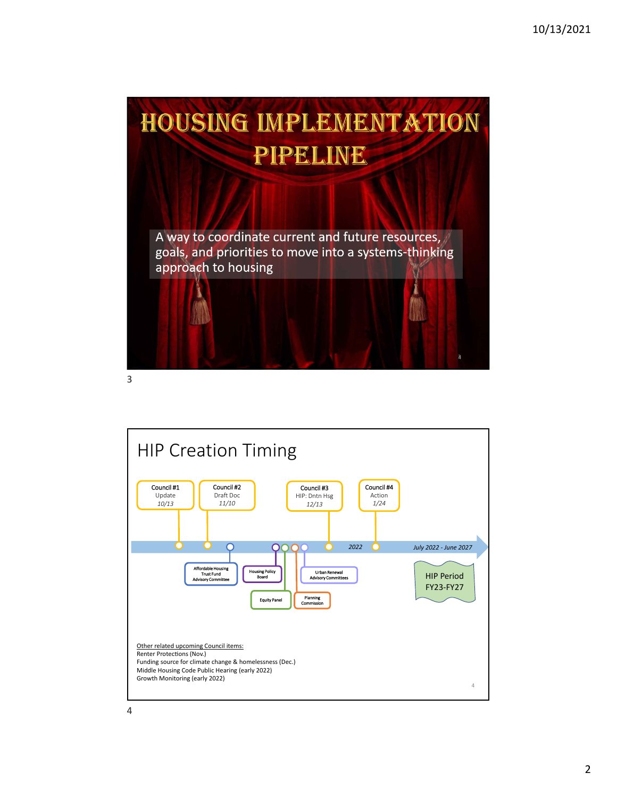

3

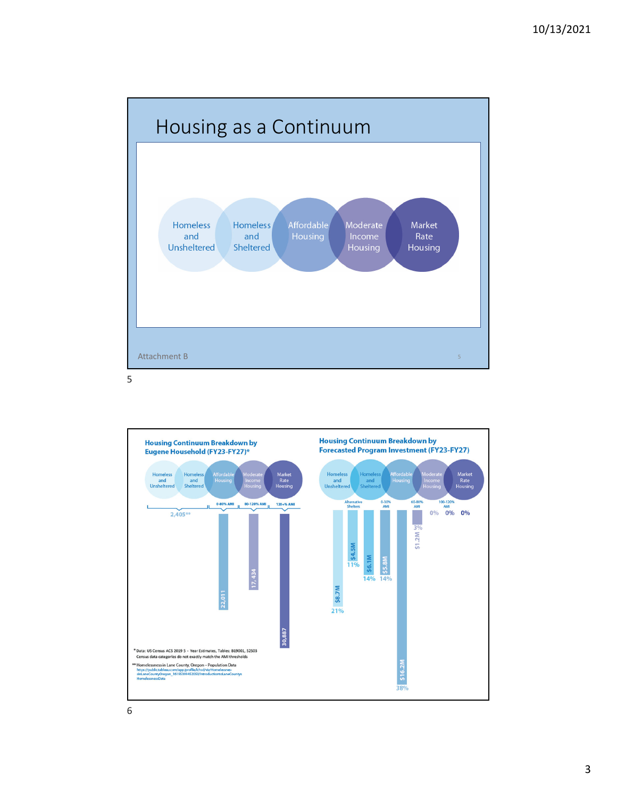



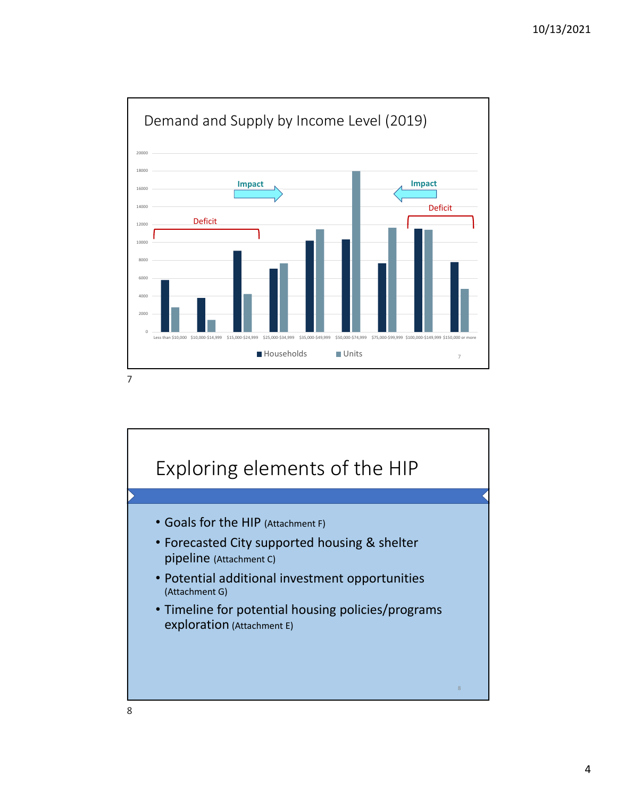

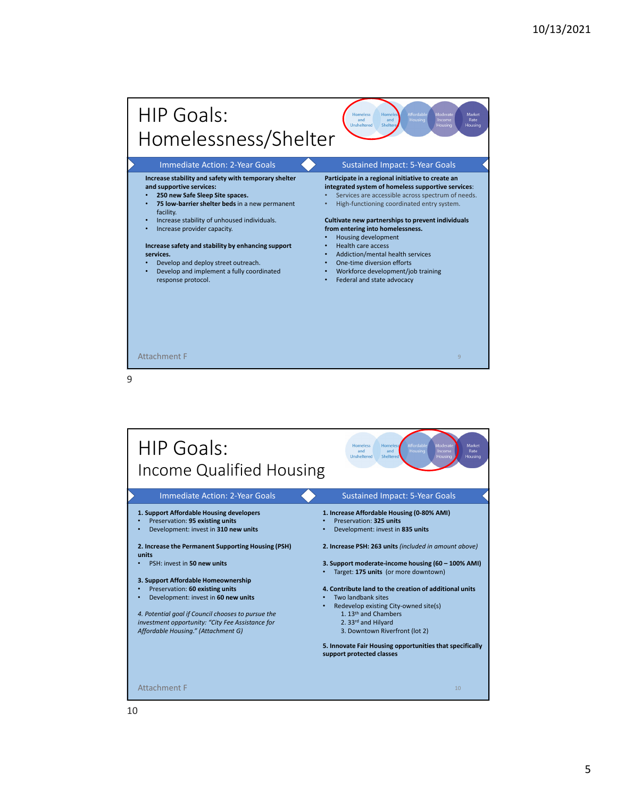## HIP Goals: omeress<br>and Homelessness/Shelter Immediate Action: 2-Year Goals Sustained Impact: 5-Year Goals **Increase stability and safety with temporary shelter Participate in a regional initiative to create an and supportive services: integrated system of homeless supportive services**: • **250 new Safe Sleep Site spaces.** • Services are accessible across spectrum of needs. • **75 low‐barriershelter beds** in a new permanent • High‐functioning coordinated entry system. facility. • Increase stability of unhoused individuals. **Cultivate new partnerships to prevent individuals** • Increase provider capacity. **from entering into homelessness.** • Housing development • Health care access **Increase safety and stability by enhancing support services.** • Addiction/mental health services Develop and deploy street outreach. One-time diversion efforts • Develop and implement a fully coordinated • Workforce development/job training response protocol. • Federal and state advocacy Attachment F

9

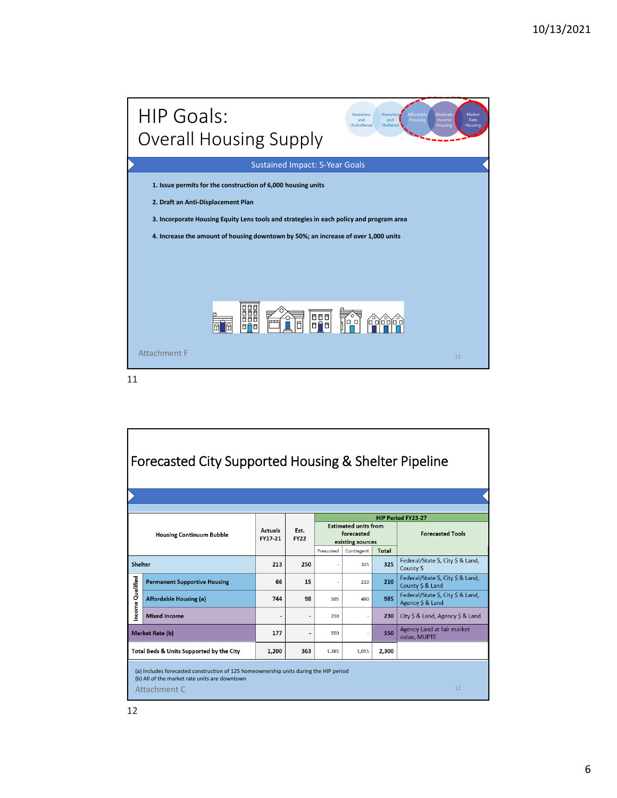

11

| Forecasted City Supported Housing & Shelter Pipeline                                                                                                         |                                     |                           |                     |                                                               |                   |              |                                                       |
|--------------------------------------------------------------------------------------------------------------------------------------------------------------|-------------------------------------|---------------------------|---------------------|---------------------------------------------------------------|-------------------|--------------|-------------------------------------------------------|
| <b>Housing Continuum Bubble</b>                                                                                                                              |                                     | <b>Actuals</b><br>FY17-21 | Est.<br><b>FY22</b> | <b>Estimated units from</b><br>forecasted<br>existing sources |                   |              | <b>HIP Period FY23-27</b><br><b>Forecasted Tools</b>  |
| Shelter                                                                                                                                                      |                                     | 213                       | 250                 | Presumed                                                      | Contingent<br>325 | Total<br>325 | Federal/State \$, City \$ & Land,<br>County S         |
| Income Qualified                                                                                                                                             | <b>Permanent Supportive Housing</b> | 66                        | 15                  |                                                               | 210               | 210          | Federal/State \$, City \$ & Land,<br>County \$ & Land |
|                                                                                                                                                              | <b>Affordable Housing (a)</b>       | 744                       | 98                  | 505                                                           | 480               | 985          | Federal/State \$, City \$ & Land,<br>Agency \$ & Land |
|                                                                                                                                                              | <b>Mixed Income</b>                 |                           |                     | 230                                                           |                   | 230          | City \$ & Land, Agency \$ & Land                      |
| <b>Market Rate (b)</b>                                                                                                                                       |                                     | 177                       |                     | 550                                                           |                   | 550          | Agency Land at fair market<br>value, MUPTE            |
| Total Beds & Units Supported by the City                                                                                                                     |                                     | 1,200                     | 363                 | 1.285                                                         | 1.015             | 2,300        |                                                       |
| (a) Includes forecasted construction of 125 homeownership units during the HIP period<br>(b) All of the market rate units are downtown<br>12<br>Attachment C |                                     |                           |                     |                                                               |                   |              |                                                       |